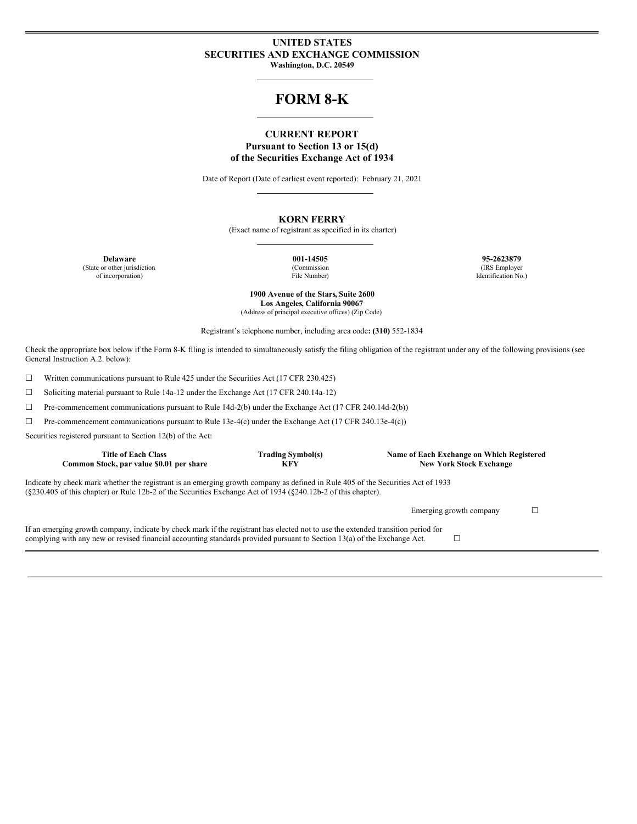### **UNITED STATES SECURITIES AND EXCHANGE COMMISSION Washington, D.C. 20549**

# **FORM 8-K**

### **CURRENT REPORT Pursuant to Section 13 or 15(d) of the Securities Exchange Act of 1934**

Date of Report (Date of earliest event reported): February 21, 2021

### **KORN FERRY**

(Exact name of registrant as specified in its charter)

(State or other jurisdiction of incorporation)

(Commission File Number)

**Delaware 001-14505 95-2623879** (IRS Employer Identification No.)

> **1900 Avenue of the Stars, Suite 2600 Los Angeles, California 90067** (Address of principal executive offices) (Zip Code)

Registrant's telephone number, including area code**: (310)** 552-1834

Check the appropriate box below if the Form 8-K filing is intended to simultaneously satisfy the filing obligation of the registrant under any of the following provisions (see General Instruction A.2. below):

☐ Written communications pursuant to Rule 425 under the Securities Act (17 CFR 230.425)

☐ Soliciting material pursuant to Rule 14a-12 under the Exchange Act (17 CFR 240.14a-12)

☐ Pre-commencement communications pursuant to Rule 14d-2(b) under the Exchange Act (17 CFR 240.14d-2(b))

☐ Pre-commencement communications pursuant to Rule 13e-4(c) under the Exchange Act (17 CFR 240.13e-4(c))

Securities registered pursuant to Section 12(b) of the Act:

| <b>Title of Each Class</b><br>Common Stock, par value \$0.01 per share                                                                                                                                                                                         | <b>Trading Symbol(s)</b><br><b>KFY</b> | Name of Each Exchange on Which Registered<br><b>New York Stock Exchange</b> |  |  |  |  |  |  |  |
|----------------------------------------------------------------------------------------------------------------------------------------------------------------------------------------------------------------------------------------------------------------|----------------------------------------|-----------------------------------------------------------------------------|--|--|--|--|--|--|--|
| Indicate by check mark whether the registrant is an emerging growth company as defined in Rule 405 of the Securities Act of 1933<br>$(8230.405 \text{ of this chapter})$ or Rule 12b-2 of the Securities Exchange Act of 1934 $(8240.12b-2)$ of this chapter). |                                        |                                                                             |  |  |  |  |  |  |  |
|                                                                                                                                                                                                                                                                |                                        | Emerging growth company                                                     |  |  |  |  |  |  |  |
| If an emerging growth company, indicate by check mark if the registrant has elected not to use the extended transition period for<br>complying with any new or revised financial accounting standards provided pursuant to Section 13(a) of the Exchange Act.  |                                        |                                                                             |  |  |  |  |  |  |  |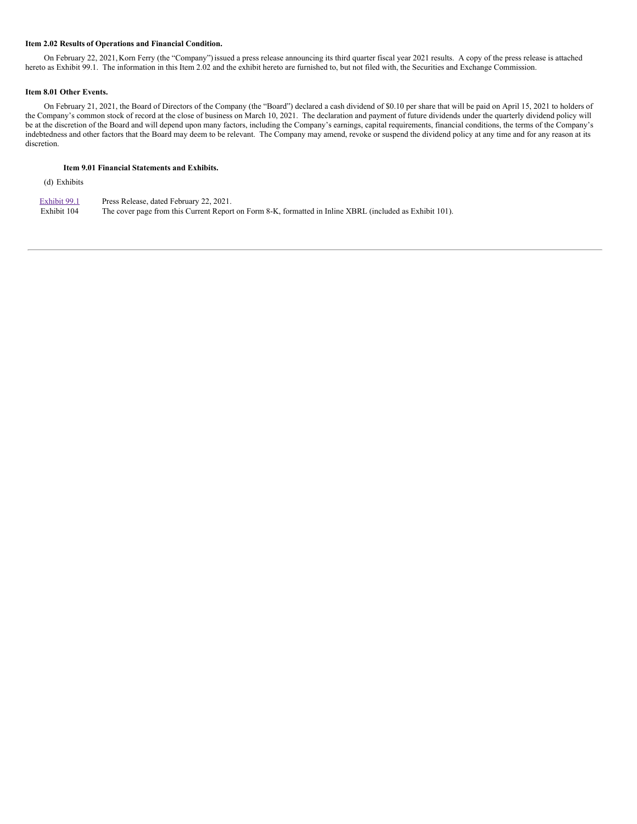### **Item 2.02 Results of Operations and Financial Condition.**

On February 22, 2021, Korn Ferry (the "Company") issued a press release announcing its third quarter fiscal year 2021 results. A copy of the press release is attached hereto as Exhibit 99.1. The information in this Item 2.02 and the exhibit hereto are furnished to, but not filed with, the Securities and Exchange Commission.

#### **Item 8.01 Other Events.**

On February 21, 2021, the Board of Directors of the Company (the "Board") declared a cash dividend of \$0.10 per share that will be paid on April 15, 2021 to holders of the Company's common stock of record at the close of business on March 10, 2021. The declaration and payment of future dividends under the quarterly dividend policy will be at the discretion of the Board and will depend upon many factors, including the Company's earnings, capital requirements, financial conditions, the terms of the Company's indebtedness and other factors that the Board may deem to be relevant. The Company may amend, revoke or suspend the dividend policy at any time and for any reason at its discretion.

### **Item 9.01 Financial Statements and Exhibits.**

(d) Exhibits

[Exhibit](#page-10-0) 99.1 Press Release, dated February 22, 2021. Exhibit 104 The cover page from this Current Report on Form 8-K, formatted in Inline XBRL (included as Exhibit 101).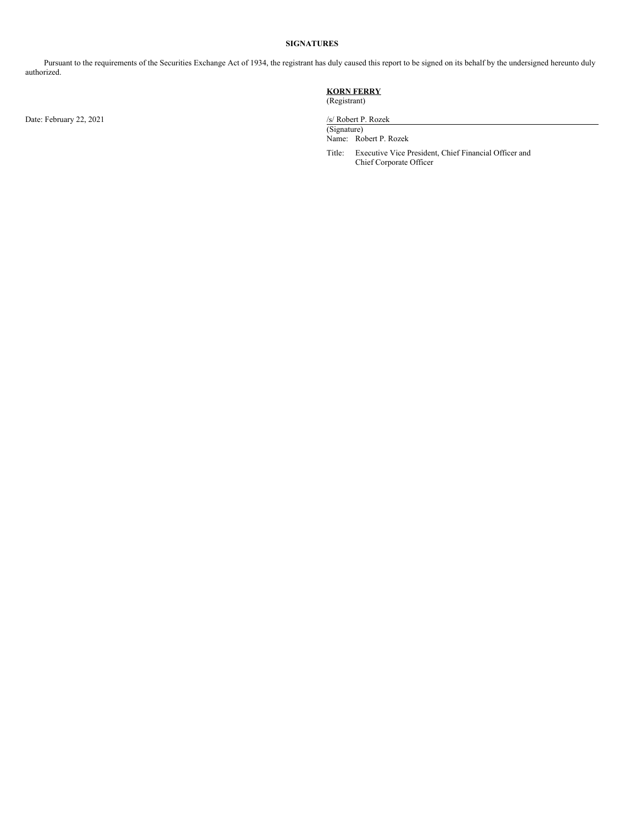### **SIGNATURES**

Pursuant to the requirements of the Securities Exchange Act of 1934, the registrant has duly caused this report to be signed on its behalf by the undersigned hereunto duly authorized.

Date: February 22, 2021 /s/ Robert P. Rozek

### **KORN FERRY** (Registrant)

(Signature) Name: Robert P. Rozek

Title: Executive Vice President, Chief Financial Officer and Chief Corporate Officer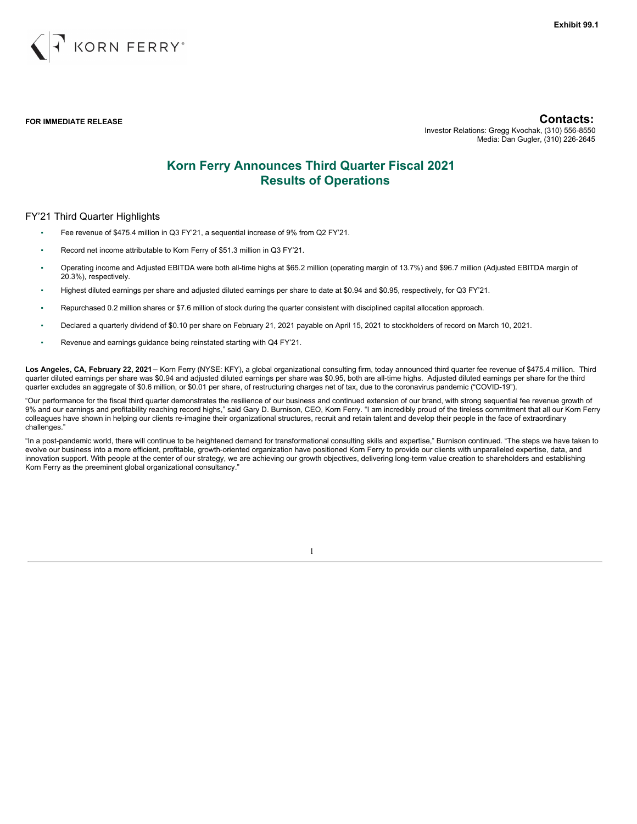

**FOR IMMEDIATE RELEASE Contacts:**

Investor Relations: Gregg Kvochak, (310) 556-8550 Media: Dan Gugler, (310) 226-2645

# **Korn Ferry Announces Third Quarter Fiscal 2021 Results of Operations**

### FY'21 Third Quarter Highlights

- Fee revenue of \$475.4 million in Q3 FY'21, a sequential increase of 9% from Q2 FY'21.
- Record net income attributable to Korn Ferry of \$51.3 million in Q3 FY'21.
- Operating income and Adjusted EBITDA were both all-time highs at \$65.2 million (operating margin of 13.7%) and \$96.7 million (Adjusted EBITDA margin of 20.3%), respectively.
- Highest diluted earnings per share and adjusted diluted earnings per share to date at \$0.94 and \$0.95, respectively, for Q3 FY'21.
- Repurchased 0.2 million shares or \$7.6 million of stock during the quarter consistent with disciplined capital allocation approach.
- Declared a quarterly dividend of \$0.10 per share on February 21, 2021 payable on April 15, 2021 to stockholders of record on March 10, 2021.
- Revenue and earnings guidance being reinstated starting with Q4 FY'21.

**Los Angeles, CA, February 22, 2021** – Korn Ferry (NYSE: KFY), a global organizational consulting firm, today announced third quarter fee revenue of \$475.4 million. Third quarter diluted earnings per share was \$0.94 and adjusted diluted earnings per share was \$0.95, both are all-time highs. Adjusted diluted earnings per share for the third quarter excludes an aggregate of \$0.6 million, or \$0.01 per share, of restructuring charges net of tax, due to the coronavirus pandemic ("COVID-19").

"Our performance for the fiscal third quarter demonstrates the resilience of our business and continued extension of our brand, with strong sequential fee revenue growth of 9% and our earnings and profitability reaching record highs," said Gary D. Burnison, CEO, Korn Ferry. "I am incredibly proud of the tireless commitment that all our Korn Ferry colleagues have shown in helping our clients re-imagine their organizational structures, recruit and retain talent and develop their people in the face of extraordinary challenges."

"In a post-pandemic world, there will continue to be heightened demand for transformational consulting skills and expertise," Burnison continued. "The steps we have taken to evolve our business into a more efficient, profitable, growth-oriented organization have positioned Korn Ferry to provide our clients with unparalleled expertise, data, and innovation support. With people at the center of our strategy, we are achieving our growth objectives, delivering long-term value creation to shareholders and establishing Korn Ferry as the preeminent global organizational consultancy."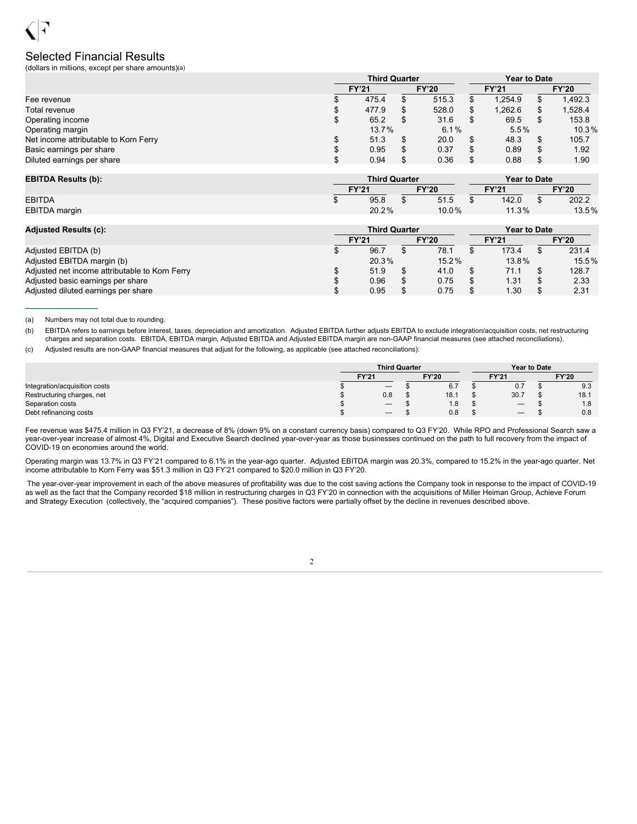# Selected Financial Results

(dollars in millions, except per share amounts)(a)

|                                       | <b>Third Quarter</b> |  |              |              |         | <b>Year to Date</b> |              |  |  |  |
|---------------------------------------|----------------------|--|--------------|--------------|---------|---------------------|--------------|--|--|--|
|                                       | <b>FY'21</b>         |  | <b>FY'20</b> | <b>FY'21</b> |         |                     | <b>FY'20</b> |  |  |  |
| Fee revenue                           | 475.4                |  | 515.3        |              | 1.254.9 |                     | 1,492.3      |  |  |  |
| Total revenue                         | 477.9                |  | 528.0        |              | 1.262.6 |                     | 1,528.4      |  |  |  |
| Operating income                      | 65.2                 |  | 31.6         |              | 69.5    |                     | 153.8        |  |  |  |
| Operating margin                      | 13.7%                |  | 6.1%         | 5.5%         |         | 10.3%               |              |  |  |  |
| Net income attributable to Korn Ferry | 51.3                 |  | 20.0         |              | 48.3    |                     | 105.7        |  |  |  |
| Basic earnings per share              | 0.95                 |  | 0.37         |              | 0.89    |                     | 1.92         |  |  |  |
| Diluted earnings per share            | 0.94                 |  | 0.36         |              | 0.88    |                     | 1.90         |  |  |  |

| <b>EBITDA Results (b):</b> |                              | <b>Third Quarter</b> |       | <b>Year to Date</b> |       |              |       |  |
|----------------------------|------------------------------|----------------------|-------|---------------------|-------|--------------|-------|--|
|                            | <b>FY'20</b><br><b>FY'21</b> |                      |       |                     | FY'21 | <b>FY'20</b> |       |  |
| <b>EBITDA</b>              | 95.8                         |                      | 51.5  |                     | 142.0 |              | 202.2 |  |
| EBITDA margin              | 20.2%                        |                      | 10.0% |                     | 11.3% |              | 13.5% |  |

| <b>Adjusted Results (c):</b>                   |              | <b>Third Quarter</b> | <b>Year to Date</b> |              |  |              |  |              |
|------------------------------------------------|--------------|----------------------|---------------------|--------------|--|--------------|--|--------------|
|                                                | <b>FY'21</b> |                      |                     | <b>FY'20</b> |  | <b>FY'21</b> |  | <b>FY'20</b> |
| Adjusted EBITDA (b)                            |              | 96.7                 |                     | 78.1         |  | 173.4        |  | 231.4        |
| Adjusted EBITDA margin (b)                     |              | 20.3%                |                     | 15.2%        |  | $13.8\%$     |  | 15.5%        |
| Adjusted net income attributable to Korn Ferry |              | 51.9                 |                     | 41.0         |  | 71.1         |  | 128.7        |
| Adjusted basic earnings per share              |              | 0.96                 |                     | 0.75         |  | 1.31         |  | 2.33         |
| Adjusted diluted earnings per share            |              | 0.95                 |                     | 0.75         |  | 1.30         |  | 2.31         |

(a) Numbers may not total due to rounding.

 $\frac{1}{2}$  ,  $\frac{1}{2}$  ,  $\frac{1}{2}$  ,  $\frac{1}{2}$  ,  $\frac{1}{2}$  ,  $\frac{1}{2}$ 

(b) EBITDA refers to earnings before interest, taxes, depreciation and amortization. Adjusted EBITDA further adjusts EBITDA to exclude integration/acquisition costs, net restructuring charges and separation costs. EBITDA, EBITDA margin, Adjusted EBITDA and Adjusted EBITDA margin are non-GAAP financial measures (see attached reconciliations).

(c) Adjusted results are non-GAAP financial measures that adjust for the following, as applicable (see attached reconciliations):

|                               | <b>Third Quarter</b>                    |              | <b>Year to Date</b> |  |              |  |
|-------------------------------|-----------------------------------------|--------------|---------------------|--|--------------|--|
|                               | <b>FY'21</b>                            | <b>FY'20</b> | <b>FY'21</b>        |  | <b>FY'20</b> |  |
| Integration/acquisition costs | $\hspace{0.1mm}-\hspace{0.1mm}$         | 6.7          | 0.7                 |  | 9.3          |  |
| Restructuring charges, net    | 0.8                                     | 18.1         | 30.7                |  | 18.1         |  |
| Separation costs              | $\qquad \qquad \  \  \, -\qquad \qquad$ | 1.8          |                     |  | 1.8          |  |
| Debt refinancing costs        |                                         | 0.8          | $\hspace{0.05cm}$   |  | 0.8          |  |

Fee revenue was \$475.4 million in Q3 FY'21, a decrease of 8% (down 9% on a constant currency basis) compared to Q3 FY'20. While RPO and Professional Search saw a year-over-year increase of almost 4%, Digital and Executive Search declined year-over-year as those businesses continued on the path to full recovery from the impact of COVID-19 on economies around the world.

Operating margin was 13.7% in Q3 FY'21 compared to 6.1% in the year-ago quarter. Adjusted EBITDA margin was 20.3%, compared to 15.2% in the year-ago quarter. Net income attributable to Korn Ferry was \$51.3 million in Q3 FY'21 compared to \$20.0 million in Q3 FY'20.

The year-over-year improvement in each of the above measures of profitability was due to the cost saving actions the Company took in response to the impact of COVID-19 as well as the fact that the Company recorded \$18 million in restructuring charges in Q3 FY'20 in connection with the acquisitions of Miller Heiman Group, Achieve Forum and Strategy Execution (collectively, the "acquired companies"). These positive factors were partially offset by the decline in revenues described above.

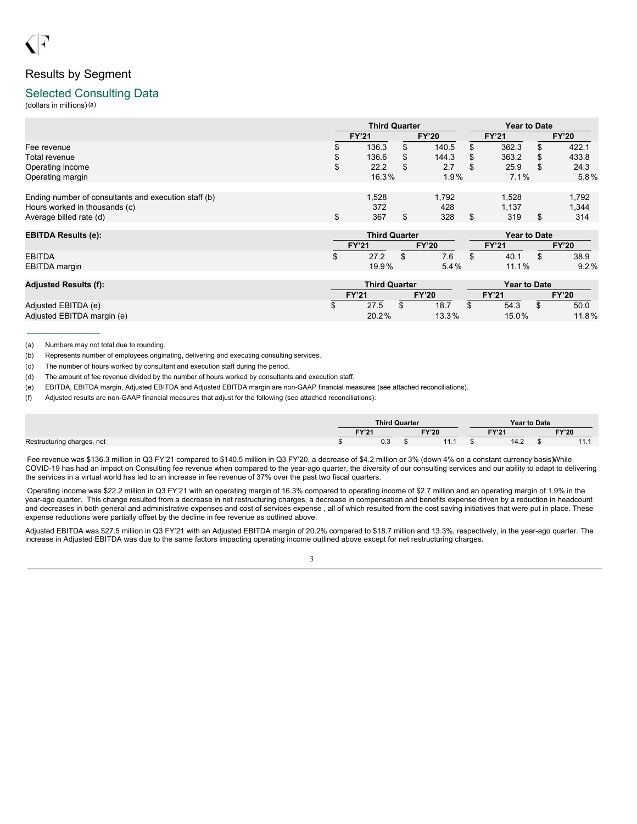# Results by Segment

### Selected Consulting Data

(dollars in millions)(a)

|                                                      |        | <b>Third Quarter</b> |              |   | <b>Year to Date</b> |    |              |  |  |
|------------------------------------------------------|--------|----------------------|--------------|---|---------------------|----|--------------|--|--|
|                                                      |        | <b>FY'21</b>         | <b>FY'20</b> |   | <b>FY'21</b>        |    | <b>FY'20</b> |  |  |
| Fee revenue                                          |        | 136.3                | 140.5        |   | 362.3               | S  | 422.1        |  |  |
| Total revenue                                        |        | 136.6                | 144.3        | S | 363.2               | S  | 433.8        |  |  |
| Operating income                                     | ጦ<br>Φ | 22.2                 | \$<br>2.7    | S | 25.9                | S  | 24.3         |  |  |
| Operating margin                                     |        | 16.3%                | 1.9%         |   | 7.1%                |    | $5.8\%$      |  |  |
|                                                      |        |                      |              |   |                     |    |              |  |  |
| Ending number of consultants and execution staff (b) |        | 1.528                | 1.792        |   | 1,528               |    | 1.792        |  |  |
| Hours worked in thousands (c)                        |        | 372                  | 428          |   | 1.137               |    | 1.344        |  |  |
| Average billed rate (d)                              | ጦ      | 367                  | 328          |   | 319                 | \$ | 314          |  |  |

| <b>EBITDA Results (e):</b> |              | <b>Third Quarter</b> |  |              | <b>Year to Date</b> |       |  |              |  |
|----------------------------|--------------|----------------------|--|--------------|---------------------|-------|--|--------------|--|
|                            | <b>FY'21</b> |                      |  | <b>FY'20</b> | FY'21               |       |  | <b>FY'20</b> |  |
| EBITDA                     | w            | 27.2                 |  | 7.6          |                     | 40.1  |  | 38.9         |  |
| EBITDA margin              |              | 19.9%                |  | 5.4%         |                     | 11.1% |  | $9.2\%$      |  |
|                            |              |                      |  |              |                     |       |  |              |  |

| <b>Adjusted Results (f):</b> | <b>Third Quarter</b> |       |  |              |  | <b>Year to Date</b> |  |              |  |
|------------------------------|----------------------|-------|--|--------------|--|---------------------|--|--------------|--|
|                              | <b>FY'21</b>         |       |  | <b>FY'20</b> |  | <b>FY'21</b>        |  | <b>FY'20</b> |  |
| Adjusted EBITDA (e)          |                      | 27.5  |  | 18.7         |  | 54.3                |  | 50.0         |  |
| Adjusted EBITDA margin (e)   |                      | 20.2% |  | 13.3%        |  | $15.0\%$            |  | 11.8%        |  |

(a) Numbers may not total due to rounding.

 $\frac{1}{2}$  ,  $\frac{1}{2}$  ,  $\frac{1}{2}$  ,  $\frac{1}{2}$  ,  $\frac{1}{2}$  ,  $\frac{1}{2}$ 

(b) Represents number of employees originating, delivering and executing consulting services.

(c) The number of hours worked by consultant and execution staff during the period.

(d) The amount of fee revenue divided by the number of hours worked by consultants and execution staff.

(e) EBITDA, EBITDA margin, Adjusted EBITDA and Adjusted EBITDA margin are non-GAAP financial measures (see attached reconciliations).

(f) Adjusted results are non-GAAP financial measures that adjust for the following (see attached reconciliations):

|                            |                       | <b>Third Quarter</b> |           |      | Year to Date |                     |  |  |  |
|----------------------------|-----------------------|----------------------|-----------|------|--------------|---------------------|--|--|--|
|                            | <b>FY'20</b><br>FV'21 |                      | EVI24     |      | <b>FY'20</b> |                     |  |  |  |
| Restructuring charges, net |                       | 0.3                  | 4444<br>. | 14.2 |              | $\overline{A}$<br>. |  |  |  |

Fee revenue was \$136.3 million in Q3 FY'21 compared to \$140.5 million in Q3 FY'20, a decrease of \$4.2 million or 3% (down 4% on a constant currency basis)While COVID-19 has had an impact on Consulting fee revenue when compared to the year-ago quarter, the diversity of our consulting services and our ability to adapt to delivering the services in a virtual world has led to an increase in fee revenue of 37% over the past two fiscal quarters.

Operating income was \$22.2 million in Q3 FY'21 with an operating margin of 16.3% compared to operating income of \$2.7 million and an operating margin of 1.9% in the year-ago quarter. This change resulted from a decrease in net restructuring charges, a decrease in compensation and benefits expense driven by a reduction in headcount and decreases in both general and administrative expenses and cost of services expense , all of which resulted from the cost saving initiatives that were put in place. These expense reductions were partially offset by the decline in fee revenue as outlined above.

Adjusted EBITDA was \$27.5 million in Q3 FY'21 with an Adjusted EBITDA margin of 20.2% compared to \$18.7 million and 13.3%, respectively, in the year-ago quarter. The increase in Adjusted EBITDA was due to the same factors impacting operating income outlined above except for net restructuring charges.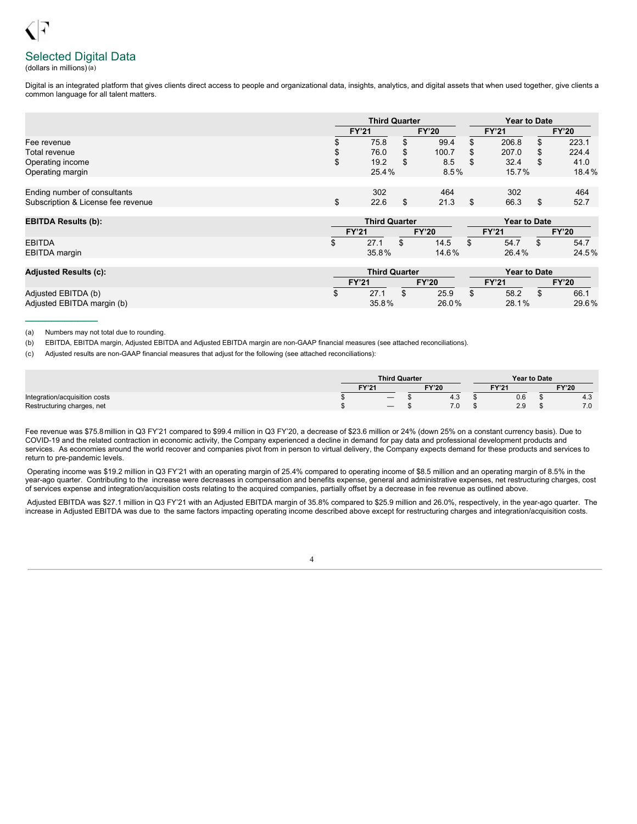# Selected Digital Data

(dollars in millions)(a)

Digital is an integrated platform that gives clients direct access to people and organizational data, insights, analytics, and digital assets that when used together, give clients a common language for all talent matters.

|                                    | <b>Third Quarter</b>         |   |       | <b>Year to Date</b> |              |  |              |
|------------------------------------|------------------------------|---|-------|---------------------|--------------|--|--------------|
|                                    | <b>FY'21</b><br><b>FY'20</b> |   |       |                     | <b>FY'21</b> |  | <b>FY'20</b> |
| Fee revenue                        | 75.8                         | S | 99.4  |                     | 206.8        |  | 223.1        |
| Total revenue                      | 76.0                         | S | 100.7 |                     | 207.0        |  | 224.4        |
| Operating income                   | 19.2                         | S | 8.5   | - \$                | 32.4         |  | 41.0         |
| Operating margin                   | 25.4%                        |   | 8.5%  |                     | 15.7%        |  | 18.4%        |
| Ending number of consultants       | 302                          |   | 464   |                     | 302          |  | 464          |
| Subscription & License fee revenue | 22.6                         |   | 21.3  |                     | 66.3         |  | 52.7         |

| <b>EBITDA Results (b):</b> |  | <b>Third Quarter</b> |              |       | <b>Year to Date</b> |                   |  |              |  |  |  |  |
|----------------------------|--|----------------------|--------------|-------|---------------------|-------------------|--|--------------|--|--|--|--|
|                            |  | <b>FY'21</b>         | <b>FY'20</b> |       | <b>FY'21</b>        |                   |  | <b>FY'20</b> |  |  |  |  |
| <b>EBITDA</b>              |  | 27.1                 | ₼            | 14.5  |                     | 54.7              |  | 54.7         |  |  |  |  |
| <b>EBITDA</b> margin       |  | 35.8%                |              | 14.6% |                     | 26.4%             |  | 24.5%        |  |  |  |  |
| .                          |  |                      |              |       |                     | $\cdots$ $\cdots$ |  |              |  |  |  |  |

| <b>Adjusted Results (c):</b> | <b>Third Quarter</b> |       |  |              |  | Year to Date |  |              |  |
|------------------------------|----------------------|-------|--|--------------|--|--------------|--|--------------|--|
|                              | <b>FY'21</b>         |       |  | <b>FY'20</b> |  | <b>FY'21</b> |  | <b>FY'20</b> |  |
| Adjusted EBITDA (b)          |                      | 27.1  |  | 25.9         |  | 58.2         |  | 66.1         |  |
| Adjusted EBITDA margin (b)   |                      | 35.8% |  | 26.0%        |  | 28.1%        |  | 29.6%        |  |

(a) Numbers may not total due to rounding.

 $\frac{1}{2}$  ,  $\frac{1}{2}$  ,  $\frac{1}{2}$  ,  $\frac{1}{2}$  ,  $\frac{1}{2}$  ,  $\frac{1}{2}$ 

(b) EBITDA, EBITDA margin, Adjusted EBITDA and Adjusted EBITDA margin are non-GAAP financial measures (see attached reconciliations).

(c) Adjusted results are non-GAAP financial measures that adjust for the following (see attached reconciliations):

|                               |                              | <b>Third Quarter</b>            |        | <b>Year to Date</b> |              |     |
|-------------------------------|------------------------------|---------------------------------|--------|---------------------|--------------|-----|
|                               | <b>FY'21</b><br><b>FY'20</b> |                                 | $-Y21$ |                     | <b>FY'20</b> |     |
| Integration/acquisition costs |                              | $\hspace{0.1mm}-\hspace{0.1mm}$ | 4.3    | 0.6                 |              | 4.3 |
| Restructuring charges, net    |                              |                                 | 7.0    | 2.9                 |              | 7.0 |

Fee revenue was \$75.8 million in Q3 FY'21 compared to \$99.4 million in Q3 FY'20, a decrease of \$23.6 million or 24% (down 25% on a constant currency basis). Due to COVID-19 and the related contraction in economic activity, the Company experienced a decline in demand for pay data and professional development products and services. As economies around the world recover and companies pivot from in person to virtual delivery, the Company expects demand for these products and services to return to pre-pandemic levels.

Operating income was \$19.2 million in Q3 FY'21 with an operating margin of 25.4% compared to operating income of \$8.5 million and an operating margin of 8.5% in the year-ago quarter. Contributing to the increase were decreases in compensation and benefits expense, general and administrative expenses, net restructuring charges, cost of services expense and integration/acquisition costs relating to the acquired companies, partially offset by a decrease in fee revenue as outlined above.

Adjusted EBITDA was \$27.1 million in Q3 FY'21 with an Adjusted EBITDA margin of 35.8% compared to \$25.9 million and 26.0%, respectively, in the year-ago quarter. The increase in Adjusted EBITDA was due to the same factors impacting operating income described above except for restructuring charges and integration/acquisition costs.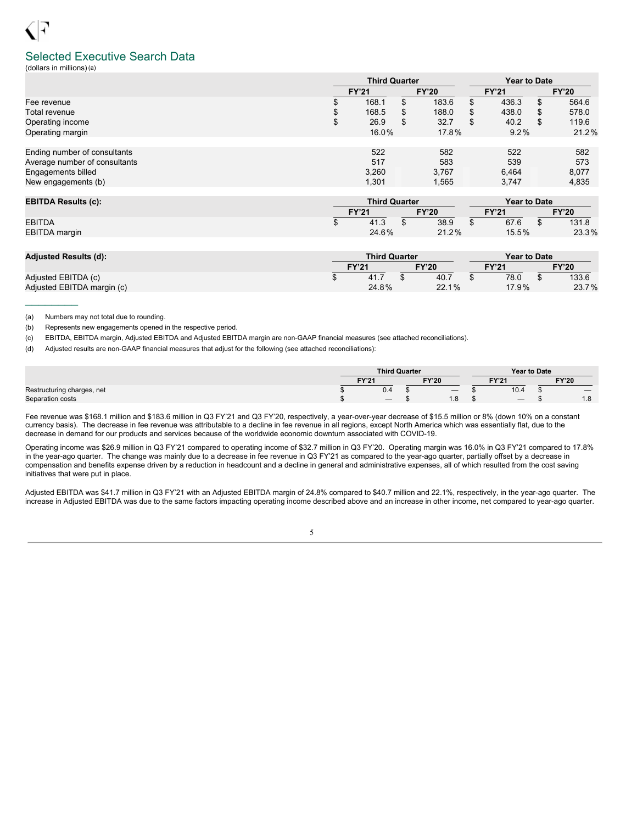### Selected Executive Search Data

(dollars in millions)(a)

|                               | <b>Third Quarter</b> |              |       |              |     | <b>Year to Date</b> |   |              |    |       |
|-------------------------------|----------------------|--------------|-------|--------------|-----|---------------------|---|--------------|----|-------|
|                               |                      | <b>FY'21</b> |       | <b>FY'20</b> |     | <b>FY'21</b>        |   | <b>FY'20</b> |    |       |
| Fee revenue                   | 168.1                |              |       |              | ۰D. | 183.6               |   | 436.3        | \$ | 564.6 |
| Total revenue                 |                      | 168.5        |       | 188.0        |     | 438.0               |   | 578.0        |    |       |
| Operating income              | \$                   | 26.9         | S     | 32.7         | S   | 40.2                | S | 119.6        |    |       |
| Operating margin              | 16.0%                |              | 17.8% |              |     | 9.2%                |   | 21.2%        |    |       |
|                               |                      |              |       |              |     |                     |   |              |    |       |
| Ending number of consultants  |                      | 522          |       | 582          |     | 522                 |   | 582          |    |       |
| Average number of consultants |                      | 517          |       | 583          |     | 539                 |   | 573          |    |       |
| Engagements billed            |                      | 3,260        |       | 3.767        |     | 6,464               |   | 8,077        |    |       |
| New engagements (b)           |                      | 1.301        |       | 1.565        |     | 3.747               |   | 4.835        |    |       |

| <b>EBITDA Results (c):</b> |              | <b>Third Quarter</b> |  |              |       | Year to Date |  |              |
|----------------------------|--------------|----------------------|--|--------------|-------|--------------|--|--------------|
|                            | <b>FY'21</b> |                      |  | <b>FY'20</b> | TY'21 |              |  | <b>FY'20</b> |
| <b>EBITDA</b>              |              | 41.3                 |  | 38.9         |       | 67.6         |  | 131.8        |
| <b>EBITDA</b> margin       |              | 24.6%                |  | 21.2%        |       | 15.5%        |  | 23.3%        |

| <b>Adjusted Results (d):</b> | <b>Third Quarter</b> |       |  |                       |  | <b>Year to Date</b> |              |       |  |  |
|------------------------------|----------------------|-------|--|-----------------------|--|---------------------|--------------|-------|--|--|
|                              | <b>FY'21</b>         |       |  | <b>FY'20</b><br>TY'21 |  |                     | <b>FY'20</b> |       |  |  |
| Adjusted EBITDA (c)          |                      | 41.7  |  | 40.7                  |  | 78.0                |              | 133.6 |  |  |
| Adjusted EBITDA margin (c)   |                      | 24.8% |  | 22.1%                 |  | 17.9%               |              | 23.7% |  |  |

(a) Numbers may not total due to rounding.

 $\mathcal{L}=\mathcal{L}$ 

(b) Represents new engagements opened in the respective period.

(c) EBITDA, EBITDA margin, Adjusted EBITDA and Adjusted EBITDA margin are non-GAAP financial measures (see attached reconciliations).

(d) Adjusted results are non-GAAP financial measures that adjust for the following (see attached reconciliations):

|                            |                              | <b>Third Quarter</b>            |  |     |       | <b>Year to Date</b>             |  |                          |
|----------------------------|------------------------------|---------------------------------|--|-----|-------|---------------------------------|--|--------------------------|
|                            | <b>FY'20</b><br><b>FY'21</b> |                                 |  |     | FY'21 |                                 |  | <b>FY'20</b>             |
| Restructuring charges, net |                              | υ.4                             |  |     |       | 10.4                            |  |                          |
| Separation costs           |                              | $\hspace{0.1mm}-\hspace{0.1mm}$ |  | 1.O |       | $\hspace{0.1mm}-\hspace{0.1mm}$ |  | $\Delta$ $\Omega$<br>1.0 |

Fee revenue was \$168.1 million and \$183.6 million in Q3 FY'21 and Q3 FY'20, respectively, a year-over-year decrease of \$15.5 million or 8% (down 10% on a constant currency basis). The decrease in fee revenue was attributable to a decline in fee revenue in all regions, except North America which was essentially flat, due to the decrease in demand for our products and services because of the worldwide economic downturn associated with COVID-19.

Operating income was \$26.9 million in Q3 FY'21 compared to operating income of \$32.7 million in Q3 FY'20. Operating margin was 16.0% in Q3 FY'21 compared to 17.8% in the year-ago quarter. The change was mainly due to a decrease in fee revenue in Q3 FY'21 as compared to the year-ago quarter, partially offset by a decrease in compensation and benefits expense driven by a reduction in headcount and a decline in general and administrative expenses, all of which resulted from the cost saving initiatives that were put in place.

Adjusted EBITDA was \$41.7 million in Q3 FY'21 with an Adjusted EBITDA margin of 24.8% compared to \$40.7 million and 22.1%, respectively, in the year-ago quarter. The increase in Adjusted EBITDA was due to the same factors impacting operating income described above and an increase in other income, net compared to year-ago quarter.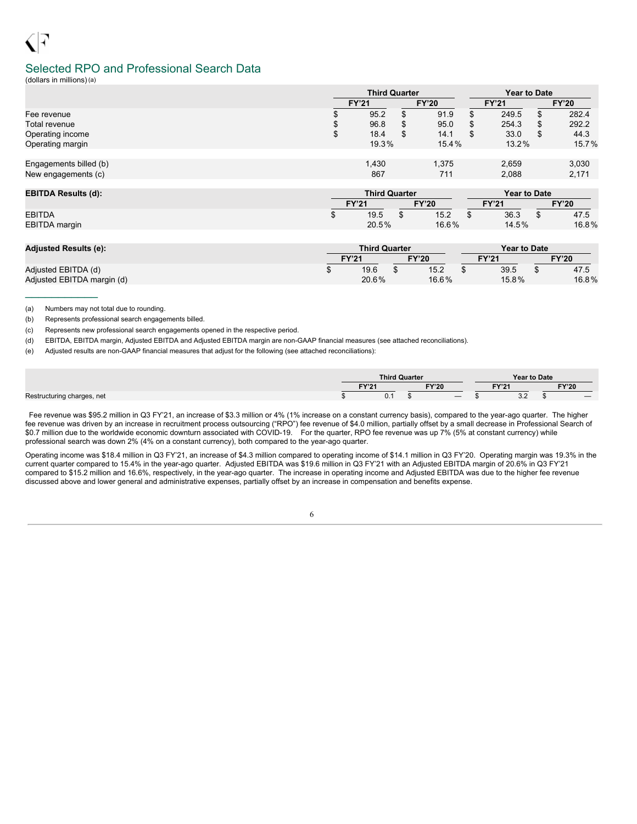# Selected RPO and Professional Search Data

(dollars in millions)(a)

|                        |              | <b>Third Quarter</b> |              | <b>Year to Date</b> |              |     |              |  |  |
|------------------------|--------------|----------------------|--------------|---------------------|--------------|-----|--------------|--|--|
|                        | <b>FY'21</b> |                      | <b>FY'20</b> |                     | <b>FY'21</b> |     | <b>FY'20</b> |  |  |
| Fee revenue            |              | 95.2<br>۰D           | 91.9         |                     | 249.5        | \$. | 282.4        |  |  |
| Total revenue          | \$           | 96.8                 | 95.0         |                     | 254.3        |     | 292.2        |  |  |
| Operating income       | \$           | 18.4                 | 14.1         | S                   | 33.0         | S   | 44.3         |  |  |
| Operating margin       |              | 19.3%                | 15.4%        | 13.2%               |              |     | 15.7%        |  |  |
|                        |              |                      |              |                     |              |     |              |  |  |
| Engagements billed (b) |              | 1,430                | 1,375        |                     | 2,659        |     | 3,030        |  |  |
| New engagements (c)    |              | 867                  | 711          | 2.088               |              |     | 2,171        |  |  |
|                        |              |                      |              |                     |              |     |              |  |  |

| <b>EBITDA Results (d):</b> | <b>Third Quarter</b> |       |  |              |       | Year to Date |  |              |  |
|----------------------------|----------------------|-------|--|--------------|-------|--------------|--|--------------|--|
|                            | <b>FY'21</b>         |       |  | <b>FY'20</b> | FY'21 |              |  | <b>FY'20</b> |  |
| <b>EBITDA</b>              |                      | 19.5  |  | 15.2         |       | 36.3         |  | 47.5         |  |
| EBITDA margin              |                      | 20.5% |  | $16.6\%$     |       | 14.5%        |  | 16.8%        |  |

| <b>Adjusted Results (e):</b> |                              | <b>Third Quarter</b> |  |       | <b>Year to Date</b> |       |  |              |  |
|------------------------------|------------------------------|----------------------|--|-------|---------------------|-------|--|--------------|--|
|                              | <b>FY'20</b><br><b>FY'21</b> |                      |  |       | <b>FY'21</b>        |       |  | <b>FY'20</b> |  |
| Adjusted EBITDA (d)          |                              | 19.6                 |  | 15.2  |                     | 39.5  |  | 47.5         |  |
| Adjusted EBITDA margin (d)   |                              | 20.6%                |  | 16.6% |                     | 15.8% |  | 16.8%        |  |

(a) Numbers may not total due to rounding.

 $\frac{1}{2}$  ,  $\frac{1}{2}$  ,  $\frac{1}{2}$  ,  $\frac{1}{2}$  ,  $\frac{1}{2}$  ,  $\frac{1}{2}$  ,  $\frac{1}{2}$ 

(b) Represents professional search engagements billed.

(c) Represents new professional search engagements opened in the respective period.

(d) EBITDA, EBITDA margin, Adjusted EBITDA and Adjusted EBITDA margin are non-GAAP financial measures (see attached reconciliations).

(e) Adjusted results are non-GAAP financial measures that adjust for the following (see attached reconciliations):

|                            |       | <b>Third Quarter</b> |              | Year to Date         |       |  |
|----------------------------|-------|----------------------|--------------|----------------------|-------|--|
|                            | EVI34 |                      | <b>FY'20</b> | EVI24                | FY'20 |  |
| Restructuring charges, net | 0.1   |                      |              | $\sim$ $\sim$<br>J.Z |       |  |

Fee revenue was \$95.2 million in Q3 FY'21, an increase of \$3.3 million or 4% (1% increase on a constant currency basis), compared to the year-ago quarter. The higher fee revenue was driven by an increase in recruitment process outsourcing ("RPO") fee revenue of \$4.0 million, partially offset by a small decrease in Professional Search of \$0.7 million due to the worldwide economic downturn associated with COVID-19. For the quarter, RPO fee revenue was up 7% (5% at constant currency) while professional search was down 2% (4% on a constant currency), both compared to the year-ago quarter.

Operating income was \$18.4 million in Q3 FY'21, an increase of \$4.3 million compared to operating income of \$14.1 million in Q3 FY'20. Operating margin was 19.3% in the current quarter compared to 15.4% in the year-ago quarter. Adjusted EBITDA was \$19.6 million in Q3 FY'21 with an Adjusted EBITDA margin of 20.6% in Q3 FY'21 compared to \$15.2 million and 16.6%, respectively, in the year-ago quarter. The increase in operating income and Adjusted EBITDA was due to the higher fee revenue discussed above and lower general and administrative expenses, partially offset by an increase in compensation and benefits expense.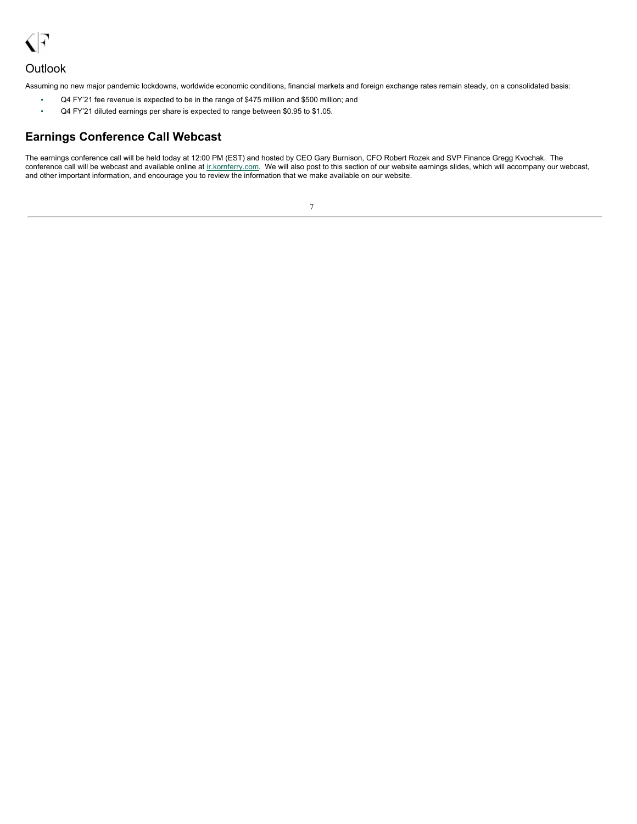

### **Outlook**

Assuming no new major pandemic lockdowns, worldwide economic conditions, financial markets and foreign exchange rates remain steady, on a consolidated basis:

- Q4 FY'21 fee revenue is expected to be in the range of \$475 million and \$500 million; and
- Q4 FY'21 diluted earnings per share is expected to range between \$0.95 to \$1.05.

# **Earnings Conference Call Webcast**

The earnings conference call will be held today at 12:00 PM (EST) and hosted by CEO Gary Burnison, CFO Robert Rozek and SVP Finance Gregg Kvochak. The conference call will be webcast and available online at ir.kornferry.com. We will also post to this section of our website earnings slides, which will accompany our webcast, and other important information, and encourage you to review the information that we make available on our website.

| I |
|---|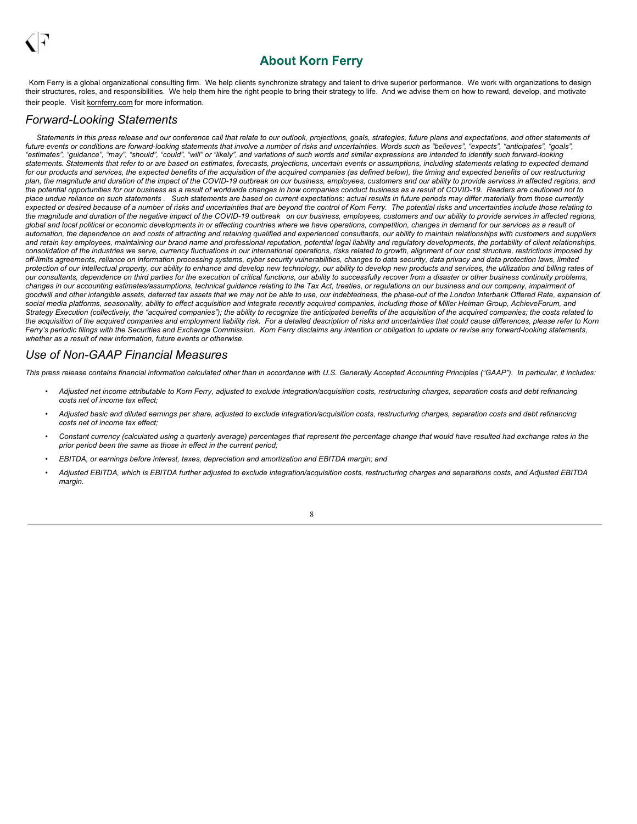# <span id="page-10-0"></span>**About Korn Ferry**

Korn Ferry is a global organizational consulting firm. We help clients synchronize strategy and talent to drive superior performance. We work with organizations to design their structures, roles, and responsibilities. We help them hire the right people to bring their strategy to life. And we advise them on how to reward, develop, and motivate their people. Visit kornferry.com for more information.

### *Forward-Looking Statements*

Statements in this press release and our conference call that relate to our outlook, projections, goals, strategies, future plans and expectations, and other statements of future events or conditions are forward-looking statements that involve a number of risks and uncertainties. Words such as "believes", "expects", "anticipates", "goals". "estimates", "guidance", "may", "should", "could", "will" or "likely", and variations of such words and similar expressions are intended to identify such forward-looking statements. Statements that refer to or are based on estimates, forecasts, projections, uncertain events or assumptions, including statements relating to expected demand for our products and services, the expected benefits of the acquisition of the acquired companies (as defined below), the timing and expected benefits of our restructuring plan, the magnitude and duration of the impact of the COVID-19 outbreak on our business, employees, customers and our ability to provide services in affected regions, and the potential opportunities for our business as a result of worldwide changes in how companies conduct business as a result of COVID-19. Readers are cautioned not to place undue reliance on such statements. Such statements are based on current expectations; actual results in future periods may differ materially from those currently expected or desired because of a number of risks and uncertainties that are beyond the control of Korn Ferry. The potential risks and uncertainties include those relating to the magnitude and duration of the negative impact of the COVID-19 outbreak on our business, employees, customers and our ability to provide services in affected regions, global and local political or economic developments in or affecting countries where we have operations, competition, changes in demand for our services as a result of automation, the dependence on and costs of attracting and retaining qualified and experienced consultants, our ability to maintain relationships with customers and suppliers and retain key employees, maintaining our brand name and professional reputation, potential legal liability and regulatory developments, the portability of client relationships, consolidation of the industries we serve, currency fluctuations in our international operations, risks related to growth, alignment of our cost structure, restrictions imposed by off-limits agreements, reliance on information processing systems, cyber security vulnerabilities, changes to data security, data privacy and data protection laws, limited protection of our intellectual property, our ability to enhance and develop new technology, our ability to develop new products and services, the utilization and billing rates of our consultants, dependence on third parties for the execution of critical functions, our ability to successfully recover from a disaster or other business continuity problems, changes in our accounting estimates/assumptions, technical guidance relating to the Tax Act, treaties, or regulations on our business and our company, impairment of goodwill and other intangible assets, deferred tax assets that we may not be able to use, our indebtedness, the phase-out of the London Interbank Offered Rate, expansion of social media platforms, seasonality, ability to effect acquisition and integrate recently acquired companies, including those of Miller Heiman Group, AchieveForum, and Strategy Execution (collectively, the "acquired companies"); the ability to recognize the anticipated benefits of the acquisition of the acquired companies; the costs related to the acquisition of the acquired companies and employment liability risk. For a detailed description of risks and uncertainties that could cause differences, please refer to Korn Ferry's periodic filings with the Securities and Exchange Commission. Korn Ferry disclaims any intention or obligation to update or revise any forward-looking statements, *whether as a result of new information, future events or otherwise.*

### *Use of Non-GAAP Financial Measures*

This press release contains financial information calculated other than in accordance with U.S. Generally Accepted Accounting Principles ("GAAP"). In particular, it includes:

- Adjusted net income attributable to Korn Ferry, adjusted to exclude integration/acquisition costs, restructuring charges, separation costs and debt refinancing *costs net of income tax effect;*
- Adjusted basic and diluted earnings per share, adjusted to exclude integration/acquisition costs, restructuring charges, separation costs and debt refinancing *costs net of income tax effect;*
- Constant currency (calculated using a quarterly average) percentages that represent the percentage change that would have resulted had exchange rates in the *prior period been the same as those in effect in the current period;*
- *• EBITDA, or earnings before interest, taxes, depreciation and amortization and EBITDA margin; and*
- Adjusted EBITDA, which is EBITDA further adjusted to exclude integration/acquisition costs, restructuring charges and separations costs, and Adjusted EBITDA *margin.*

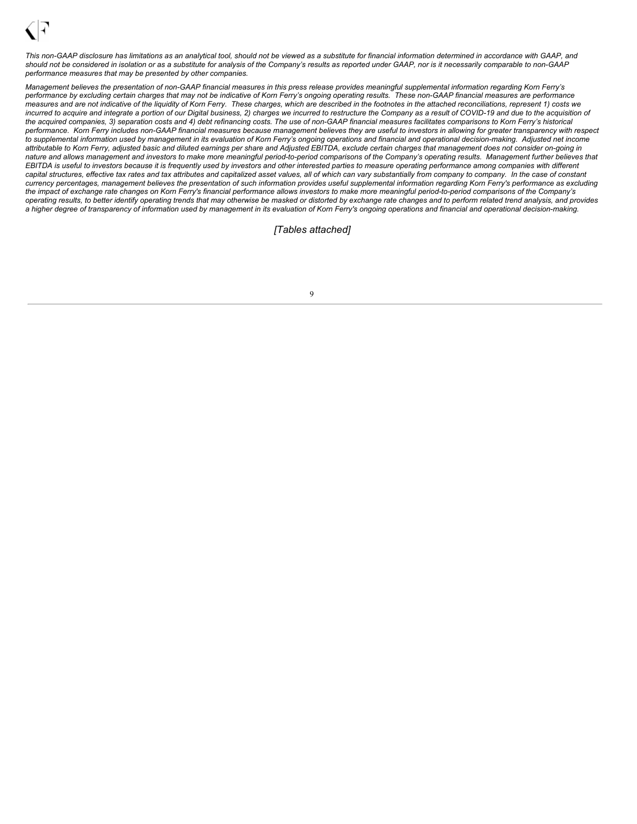

This non-GAAP disclosure has limitations as an analytical tool, should not be viewed as a substitute for financial information determined in accordance with GAAP, and should not be considered in isolation or as a substitute for analysis of the Company's results as reported under GAAP, nor is it necessarily comparable to non-GAAP *performance measures that may be presented by other companies.*

Management believes the presentation of non-GAAP financial measures in this press release provides meaningful supplemental information regarding Korn Ferry's performance by excluding certain charges that may not be indicative of Korn Ferry's ongoing operating results. These non-GAAP financial measures are performance measures and are not indicative of the liquidity of Korn Ferry. These charges, which are described in the footnotes in the attached reconciliations, represent 1) costs we incurred to acquire and integrate a portion of our Digital business, 2) charges we incurred to restructure the Company as a result of COVID-19 and due to the acquisition of the acquired companies, 3) separation costs and 4) debt refinancing costs. The use of non-GAAP financial measures facilitates comparisons to Korn Ferry's historical performance. Korn Ferry includes non-GAAP financial measures because management believes they are useful to investors in allowing for greater transparency with respect to supplemental information used by management in its evaluation of Korn Ferry's ongoing operations and financial and operational decision-making. Adjusted net income attributable to Korn Ferry, adjusted basic and diluted earnings per share and Adjusted EBITDA, exclude certain charges that management does not consider on-going in nature and allows management and investors to make more meaningful period-to-period comparisons of the Company's operating results. Management further believes that EBITDA is useful to investors because it is frequently used by investors and other interested parties to measure operating performance among companies with different capital structures, effective tax rates and tax attributes and capitalized asset values, all of which can vary substantially from company to company. In the case of constant currency percentages, management believes the presentation of such information provides useful supplemental information regarding Korn Ferry's performance as excluding the impact of exchange rate changes on Korn Ferry's financial performance allows investors to make more meaningful period-to-period comparisons of the Company's operating results, to better identify operating trends that may otherwise be masked or distorted by exchange rate changes and to perform related trend analysis, and provides a higher degree of transparency of information used by management in its evaluation of Korn Ferry's ongoing operations and financial and operational decision-making.

*[Tables attached]*

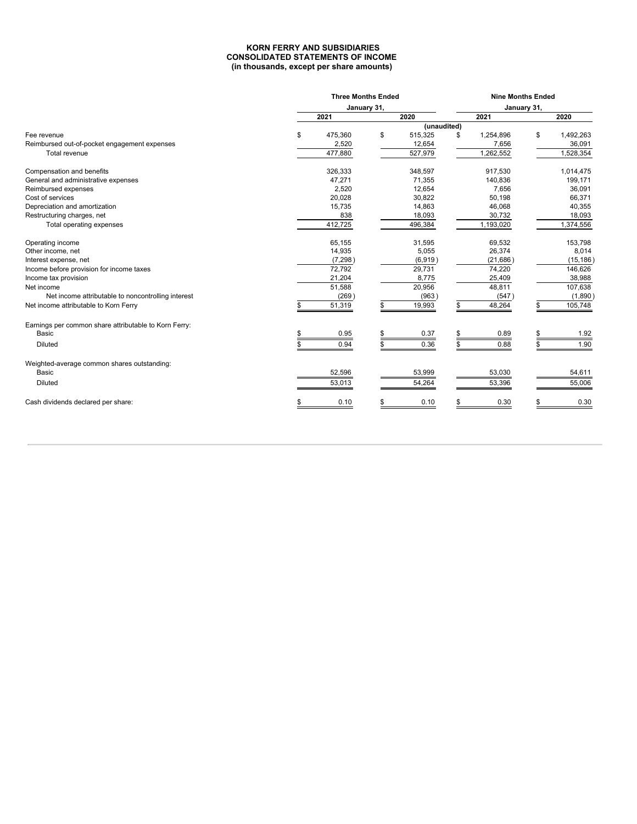### **KORN FERRY AND SUBSIDIARIES CONSOLIDATED STATEMENTS OF INCOME (in thousands, except per share amounts)**

|                                                       |     | <b>Nine Months Ended</b> |             |             |                 |    |           |  |  |
|-------------------------------------------------------|-----|--------------------------|-------------|-------------|-----------------|----|-----------|--|--|
|                                                       |     |                          | January 31, |             | January 31,     |    |           |  |  |
|                                                       |     | 2021                     |             | 2020        | 2021            |    | 2020      |  |  |
|                                                       |     |                          |             | (unaudited) |                 |    |           |  |  |
| Fee revenue                                           | \$  | 475,360                  | \$          | 515,325     | \$<br>1,254,896 | \$ | 1,492,263 |  |  |
| Reimbursed out-of-pocket engagement expenses          |     | 2,520                    |             | 12,654      | 7,656           |    | 36,091    |  |  |
| Total revenue                                         |     | 477,880                  |             | 527,979     | 1,262,552       |    | 1,528,354 |  |  |
| Compensation and benefits                             |     | 326,333                  |             | 348,597     | 917,530         |    | 1,014,475 |  |  |
| General and administrative expenses                   |     | 47,271                   |             | 71,355      | 140,836         |    | 199,171   |  |  |
| Reimbursed expenses                                   |     | 2,520                    |             | 12,654      | 7,656           |    | 36,091    |  |  |
| Cost of services                                      |     | 20,028                   |             | 30,822      | 50,198          |    | 66,371    |  |  |
| Depreciation and amortization                         |     | 15,735                   |             | 14,863      | 46,068          |    | 40,355    |  |  |
| Restructuring charges, net                            |     | 838                      |             | 18,093      | 30,732          |    | 18,093    |  |  |
| Total operating expenses                              |     | 412,725                  |             | 496,384     | 1,193,020       |    | 1,374,556 |  |  |
| Operating income                                      |     | 65,155                   |             | 31,595      | 69,532          |    | 153,798   |  |  |
| Other income, net                                     |     | 14,935                   |             | 5,055       | 26,374          |    | 8,014     |  |  |
| Interest expense, net                                 |     | (7, 298)                 |             | (6,919)     | (21, 686)       |    | (15, 186) |  |  |
| Income before provision for income taxes              |     | 72,792                   |             | 29,731      | 74,220          |    | 146,626   |  |  |
| Income tax provision                                  |     | 21,204                   |             | 8,775       | 25,409          |    | 38,988    |  |  |
| Net income                                            |     | 51,588                   |             | 20,956      | 48,811          |    | 107,638   |  |  |
| Net income attributable to noncontrolling interest    |     | (269)                    |             | (963)       | (547)           |    | (1,890)   |  |  |
| Net income attributable to Korn Ferry                 |     | 51,319                   |             | 19,993      | 48,264          |    | 105,748   |  |  |
| Earnings per common share attributable to Korn Ferry: |     |                          |             |             |                 |    |           |  |  |
| Basic                                                 |     | 0.95                     |             | 0.37        | 0.89            |    | 1.92      |  |  |
| <b>Diluted</b>                                        | \$. | 0.94                     |             | 0.36        | 0.88            |    | 1.90      |  |  |
| Weighted-average common shares outstanding:           |     |                          |             |             |                 |    |           |  |  |
| Basic                                                 |     | 52,596                   |             | 53,999      | 53,030          |    | 54,611    |  |  |
| <b>Diluted</b>                                        |     | 53,013                   |             | 54,264      | 53,396          |    | 55,006    |  |  |
| Cash dividends declared per share:                    |     | 0.10                     |             | 0.10        | 0.30            |    | 0.30      |  |  |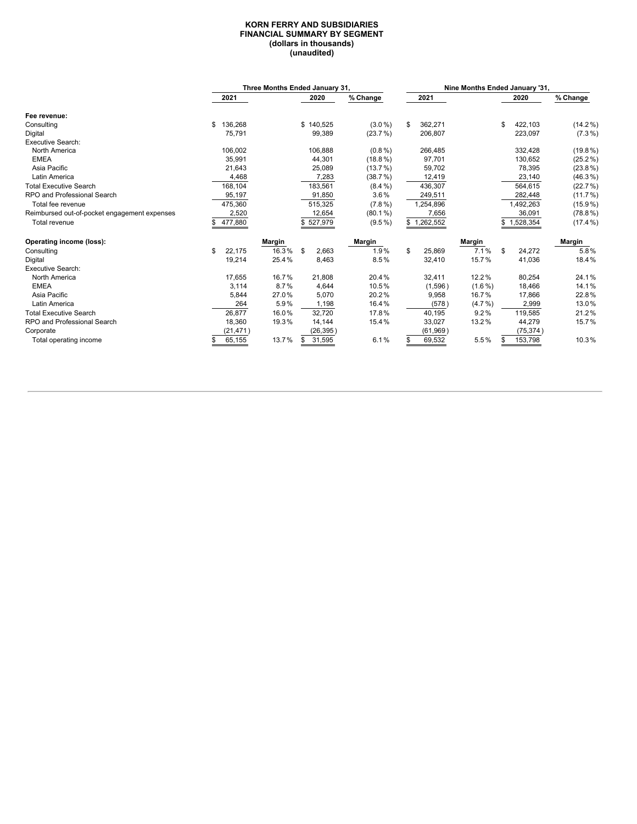#### **KORN FERRY AND SUBSIDIARIES FINANCIAL SUMMARY BY SEGMENT (dollars in thousands) (unaudited)**

|                                              |               |        | Three Months Ended January 31, |            |    | Nine Months Ended January '31, |               |               |            |
|----------------------------------------------|---------------|--------|--------------------------------|------------|----|--------------------------------|---------------|---------------|------------|
|                                              | 2021          |        | 2020                           | % Change   |    | 2021                           |               | 2020          | % Change   |
| Fee revenue:                                 |               |        |                                |            |    |                                |               |               |            |
| Consulting                                   | \$<br>136,268 |        | \$140,525                      | $(3.0\%)$  |    | 362,271                        |               | \$<br>422,103 | $(14.2\%)$ |
| Digital                                      | 75,791        |        | 99,389                         | (23.7%)    |    | 206,807                        |               | 223,097       | $(7.3\%)$  |
| <b>Executive Search:</b>                     |               |        |                                |            |    |                                |               |               |            |
| North America                                | 106,002       |        | 106,888                        | $(0.8\%)$  |    | 266,485                        |               | 332,428       | $(19.8\%)$ |
| <b>EMEA</b>                                  | 35,991        |        | 44,301                         | $(18.8\%)$ |    | 97,701                         |               | 130,652       | $(25.2\%)$ |
| Asia Pacific                                 | 21,643        |        | 25,089                         | (13.7%)    |    | 59,702                         |               | 78,395        | $(23.8\%)$ |
| Latin America                                | 4,468         |        | 7,283                          | (38.7%)    |    | 12,419                         |               | 23,140        | $(46.3\%)$ |
| <b>Total Executive Search</b>                | 168,104       |        | 183,561                        | $(8.4\%)$  |    | 436,307                        |               | 564,615       | (22.7%)    |
| RPO and Professional Search                  | 95,197        |        | 91,850                         | $3.6\%$    |    | 249,511                        |               | 282,448       | $(11.7\%)$ |
| Total fee revenue                            | 475,360       |        | 515,325                        | $(7.8\%)$  |    | 1,254,896                      |               | 1,492,263     | $(15.9\%)$ |
| Reimbursed out-of-pocket engagement expenses | 2,520         |        | 12,654                         | $(80.1\%)$ |    | 7,656                          |               | 36,091        | $(78.8\%)$ |
| Total revenue                                | 477,880       |        | 527,979                        | $(9.5\%)$  |    | 1,262,552                      |               | 1,528,354     | $(17.4\%)$ |
| Operating income (loss):                     |               | Margin |                                | Margin     |    |                                | <b>Margin</b> |               | Margin     |
| Consulting                                   | \$<br>22.175  | 16.3%  | \$<br>2,663                    | 1.9%       | \$ | 25,869                         | 7.1%          | \$<br>24,272  | 5.8%       |
| Digital                                      | 19,214        | 25.4%  | 8,463                          | 8.5%       |    | 32,410                         | 15.7%         | 41,036        | 18.4%      |
| <b>Executive Search:</b>                     |               |        |                                |            |    |                                |               |               |            |
| North America                                | 17,655        | 16.7%  | 21,808                         | 20.4%      |    | 32,411                         | 12.2%         | 80,254        | 24.1%      |
| <b>EMEA</b>                                  | 3,114         | 8.7%   | 4,644                          | 10.5%      |    | (1,596)                        | $(1.6\%)$     | 18,466        | 14.1%      |
| Asia Pacific                                 | 5,844         | 27.0%  | 5,070                          | 20.2%      |    | 9,958                          | 16.7%         | 17,866        | 22.8%      |
| Latin America                                | 264           | 5.9%   | 1,198                          | 16.4%      |    | (578)                          | $(4.7\% )$    | 2,999         | 13.0%      |
| <b>Total Executive Search</b>                | 26,877        | 16.0%  | 32,720                         | 17.8%      |    | 40,195                         | 9.2%          | 119,585       | 21.2%      |
| RPO and Professional Search                  | 18,360        | 19.3%  | 14,144                         | 15.4%      |    | 33,027                         | 13.2%         | 44,279        | 15.7%      |
| Corporate                                    | (21, 471)     |        | (26,395)                       |            |    | (61, 969)                      |               | (75, 374)     |            |
| Total operating income                       | 65,155        | 13.7%  | 31,595                         | 6.1%       |    | 69,532                         | 5.5%          | 153,798       | 10.3%      |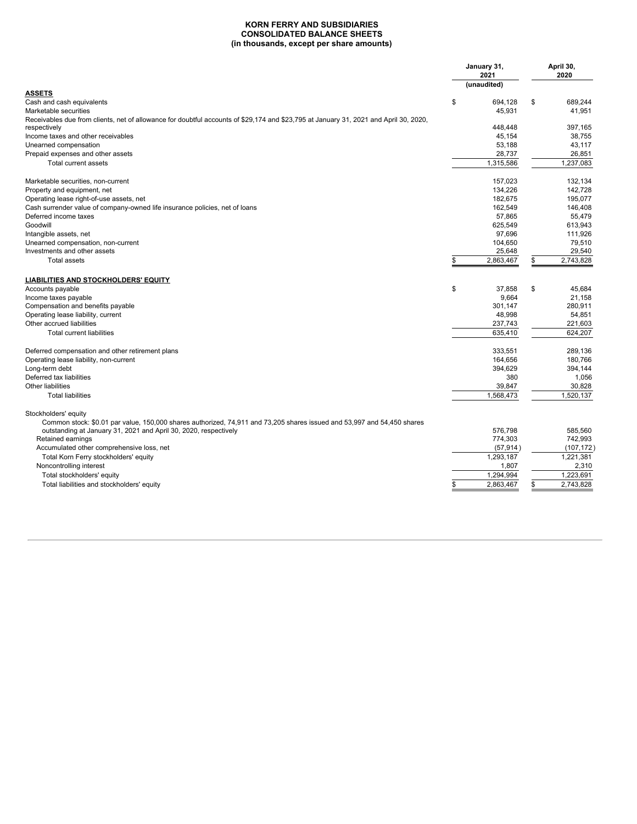#### **KORN FERRY AND SUBSIDIARIES CONSOLIDATED BALANCE SHEETS (in thousands, except per share amounts)**

|                                                                                                                                                       | January 31,<br>2021<br>(unaudited) | April 30,<br>2020 |
|-------------------------------------------------------------------------------------------------------------------------------------------------------|------------------------------------|-------------------|
| <b>ASSETS</b>                                                                                                                                         |                                    |                   |
| Cash and cash equivalents                                                                                                                             | \$<br>694,128                      | \$<br>689,244     |
| Marketable securities                                                                                                                                 | 45,931                             | 41,951            |
| Receivables due from clients, net of allowance for doubtful accounts of \$29,174 and \$23,795 at January 31, 2021 and April 30, 2020,<br>respectively | 448.448                            | 397.165           |
| Income taxes and other receivables                                                                                                                    | 45,154                             | 38,755            |
| Unearned compensation                                                                                                                                 | 53,188                             | 43,117            |
| Prepaid expenses and other assets                                                                                                                     | 28,737                             | 26,851            |
| Total current assets                                                                                                                                  | 1,315,586                          | 1,237,083         |
| Marketable securities, non-current                                                                                                                    | 157,023                            | 132,134           |
| Property and equipment, net                                                                                                                           | 134,226                            | 142.728           |
| Operating lease right-of-use assets, net                                                                                                              | 182.675                            | 195.077           |
| Cash surrender value of company-owned life insurance policies, net of loans                                                                           | 162,549                            | 146,408           |
| Deferred income taxes                                                                                                                                 | 57.865                             | 55.479            |
| Goodwill                                                                                                                                              | 625,549                            | 613,943           |
| Intangible assets, net                                                                                                                                | 97.696                             | 111.926           |
| Unearned compensation, non-current                                                                                                                    | 104,650                            | 79,510            |
| Investments and other assets                                                                                                                          | 25,648                             | 29,540            |
| Total assets                                                                                                                                          | \$<br>2,863,467                    | \$<br>2,743,828   |
| <b>LIABILITIES AND STOCKHOLDERS' EQUITY</b>                                                                                                           |                                    |                   |
| Accounts payable                                                                                                                                      | \$<br>37.858                       | \$<br>45.684      |
| Income taxes payable                                                                                                                                  | 9,664                              | 21,158            |
| Compensation and benefits payable                                                                                                                     | 301,147                            | 280,911           |
| Operating lease liability, current                                                                                                                    | 48,998                             | 54,851            |
| Other accrued liabilities                                                                                                                             | 237,743                            | 221,603           |
| Total current liabilities                                                                                                                             | 635.410                            | 624.207           |
| Deferred compensation and other retirement plans                                                                                                      | 333.551                            | 289.136           |
| Operating lease liability, non-current                                                                                                                | 164,656                            | 180,766           |
| Long-term debt                                                                                                                                        | 394,629                            | 394.144           |
| Deferred tax liabilities                                                                                                                              | 380                                | 1,056             |
| Other liabilities                                                                                                                                     | 39,847                             | 30,828            |
| <b>Total liabilities</b>                                                                                                                              | 1.568.473                          | 1,520,137         |
| Stockholders' equity<br>Common stock: \$0.01 par value, 150,000 shares authorized, 74,911 and 73,205 shares issued and 53,997 and 54,450 shares       |                                    |                   |
| outstanding at January 31, 2021 and April 30, 2020, respectively                                                                                      | 576.798                            | 585,560           |
| Retained earnings                                                                                                                                     | 774,303                            | 742,993           |
| Accumulated other comprehensive loss, net                                                                                                             | (57, 914)                          | (107, 172)        |
| Total Korn Ferry stockholders' equity                                                                                                                 | 1.293.187                          | 1.221.381         |
| Noncontrolling interest                                                                                                                               | 1,807                              | 2,310             |
| Total stockholders' equity                                                                                                                            | 1,294,994                          | 1,223,691         |
| Total liabilities and stockholders' equity                                                                                                            | 2.863.467                          | \$<br>2,743,828   |
|                                                                                                                                                       |                                    |                   |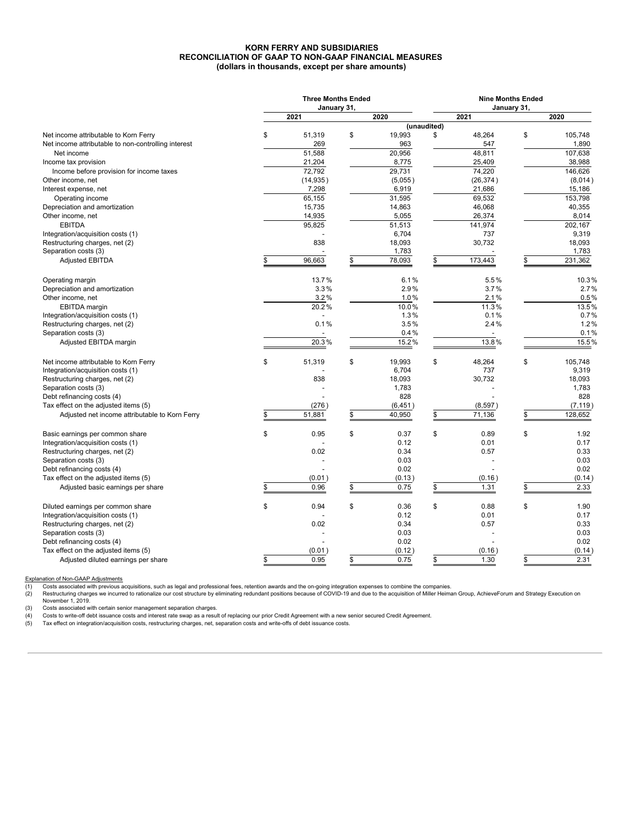### **KORN FERRY AND SUBSIDIARIES RECONCILIATION OF GAAP TO NON-GAAP FINANCIAL MEASURES (dollars in thousands, except per share amounts)**

|                                                     | <b>Three Months Ended</b><br>January 31, |    | <b>Nine Months Ended</b><br>January 31, |             |           |    |          |  |  |  |  |
|-----------------------------------------------------|------------------------------------------|----|-----------------------------------------|-------------|-----------|----|----------|--|--|--|--|
|                                                     | 2021                                     |    | 2020                                    |             | 2021      |    | 2020     |  |  |  |  |
|                                                     |                                          |    |                                         | (unaudited) |           |    |          |  |  |  |  |
| Net income attributable to Korn Ferry               | \$<br>51,319                             | \$ | 19,993                                  | \$          | 48,264    | \$ | 105,748  |  |  |  |  |
| Net income attributable to non-controlling interest | 269                                      |    | 963                                     |             | 547       |    | 1,890    |  |  |  |  |
| Net income                                          | 51,588                                   |    | 20,956                                  |             | 48,811    |    | 107,638  |  |  |  |  |
| Income tax provision                                | 21,204                                   |    | 8,775                                   |             | 25,409    |    | 38,988   |  |  |  |  |
| Income before provision for income taxes            | 72.792                                   |    | 29.731                                  |             | 74,220    |    | 146.626  |  |  |  |  |
| Other income, net                                   | (14, 935)                                |    | (5,055)                                 |             | (26, 374) |    | (8,014)  |  |  |  |  |
| Interest expense, net                               | 7,298                                    |    | 6,919                                   |             | 21,686    |    | 15,186   |  |  |  |  |
| Operating income                                    | 65,155                                   |    | 31,595                                  |             | 69,532    |    | 153,798  |  |  |  |  |
| Depreciation and amortization                       | 15,735                                   |    | 14,863                                  |             | 46,068    |    | 40,355   |  |  |  |  |
| Other income, net                                   | 14,935                                   |    | 5,055                                   |             | 26,374    |    | 8,014    |  |  |  |  |
| <b>EBITDA</b>                                       | 95,825                                   |    | 51,513                                  |             | 141,974   |    | 202,167  |  |  |  |  |
| Integration/acquisition costs (1)                   |                                          |    | 6,704                                   |             | 737       |    | 9,319    |  |  |  |  |
| Restructuring charges, net (2)                      | 838                                      |    | 18,093                                  |             | 30,732    |    | 18,093   |  |  |  |  |
| Separation costs (3)                                |                                          |    | 1,783                                   |             |           |    | 1,783    |  |  |  |  |
| <b>Adjusted EBITDA</b>                              | \$<br>96,663                             | \$ | 78,093                                  | \$          | 173,443   | \$ | 231,362  |  |  |  |  |
|                                                     |                                          |    |                                         |             |           |    |          |  |  |  |  |
| Operating margin                                    | 13.7%                                    |    | 6.1%                                    |             | 5.5%      |    | 10.3%    |  |  |  |  |
| Depreciation and amortization                       | 3.3%                                     |    | 2.9%                                    |             | 3.7%      |    | 2.7%     |  |  |  |  |
| Other income, net                                   | 3.2%                                     |    | 1.0%                                    |             | 2.1%      |    | 0.5%     |  |  |  |  |
| EBITDA margin                                       | 20.2%                                    |    | 10.0%                                   |             | 11.3%     |    | 13.5%    |  |  |  |  |
| Integration/acquisition costs (1)                   |                                          |    | 1.3%                                    |             | 0.1%      |    | 0.7%     |  |  |  |  |
| Restructuring charges, net (2)                      | 0.1%                                     |    | 3.5%                                    |             | 2.4%      |    | 1.2%     |  |  |  |  |
| Separation costs (3)                                |                                          |    | 0.4%                                    |             |           |    | 0.1%     |  |  |  |  |
| Adjusted EBITDA margin                              | 20.3%                                    |    | 15.2%                                   |             | 13.8%     |    | 15.5%    |  |  |  |  |
| Net income attributable to Korn Ferry               | \$<br>51,319                             | \$ | 19,993                                  | \$          | 48,264    | \$ | 105,748  |  |  |  |  |
| Integration/acquisition costs (1)                   |                                          |    | 6,704                                   |             | 737       |    | 9,319    |  |  |  |  |
| Restructuring charges, net (2)                      | 838                                      |    | 18,093                                  |             | 30,732    |    | 18,093   |  |  |  |  |
| Separation costs (3)                                |                                          |    | 1,783                                   |             |           |    | 1,783    |  |  |  |  |
| Debt refinancing costs (4)                          |                                          |    | 828                                     |             |           |    | 828      |  |  |  |  |
| Tax effect on the adjusted items (5)                | (276)                                    |    | (6, 451)                                |             | (8, 597)  |    | (7, 119) |  |  |  |  |
| Adjusted net income attributable to Korn Ferry      | \$<br>51,881                             | \$ | 40,950                                  | \$          | 71,136    | \$ | 128,652  |  |  |  |  |
| Basic earnings per common share                     | \$<br>0.95                               | \$ | 0.37                                    | \$          | 0.89      | \$ | 1.92     |  |  |  |  |
| Integration/acquisition costs (1)                   |                                          |    | 0.12                                    |             | 0.01      |    | 0.17     |  |  |  |  |
| Restructuring charges, net (2)                      | 0.02                                     |    | 0.34                                    |             | 0.57      |    | 0.33     |  |  |  |  |
| Separation costs (3)                                |                                          |    | 0.03                                    |             |           |    | 0.03     |  |  |  |  |
| Debt refinancing costs (4)                          |                                          |    | 0.02                                    |             |           |    | 0.02     |  |  |  |  |
| Tax effect on the adjusted items (5)                | (0.01)                                   |    | (0.13)                                  |             | (0.16)    |    | (0.14)   |  |  |  |  |
|                                                     | \$                                       |    |                                         | \$          |           |    |          |  |  |  |  |
| Adjusted basic earnings per share                   | 0.96                                     | \$ | 0.75                                    |             | 1.31      | \$ | 2.33     |  |  |  |  |
| Diluted earnings per common share                   | \$<br>0.94                               | \$ | 0.36                                    | \$          | 0.88      | \$ | 1.90     |  |  |  |  |
| Integration/acquisition costs (1)                   |                                          |    | 0.12                                    |             | 0.01      |    | 0.17     |  |  |  |  |
| Restructuring charges, net (2)                      | 0.02                                     |    | 0.34                                    |             | 0.57      |    | 0.33     |  |  |  |  |
| Separation costs (3)                                |                                          |    | 0.03                                    |             |           |    | 0.03     |  |  |  |  |
| Debt refinancing costs (4)                          |                                          |    | 0.02                                    |             |           |    | 0.02     |  |  |  |  |
| Tax effect on the adjusted items (5)                | (0.01)                                   |    | (0.12)                                  |             | (0.16)    |    | (0.14)   |  |  |  |  |
| Adjusted diluted earnings per share                 | \$<br>0.95                               | \$ | 0.75                                    | \$          | 1.30      | \$ | 2.31     |  |  |  |  |
|                                                     |                                          |    |                                         |             |           |    |          |  |  |  |  |

Explanation of Non-GAAP Adjustments

(1) Costs associated with previous acquisitions, such as legal and professional fees, retention awards and the on-going integration expenses to combine the companies.<br>(2) Restructuring charges we incurred to rationalize ou

(3) Costs associated with certain senior management separation charges.<br>(4) Costs to write-off debt issuance costs and interest rate swap as a result of replacing our prior Credit Agreement with a new senior secured Credit (4) Costs to write-off debt issuance costs and interest rate swap as a result of replacing our prior Credit Agreement with a new se<br>
(5) Tax effect on integration/acquisition costs, restructuring charges, net, separation c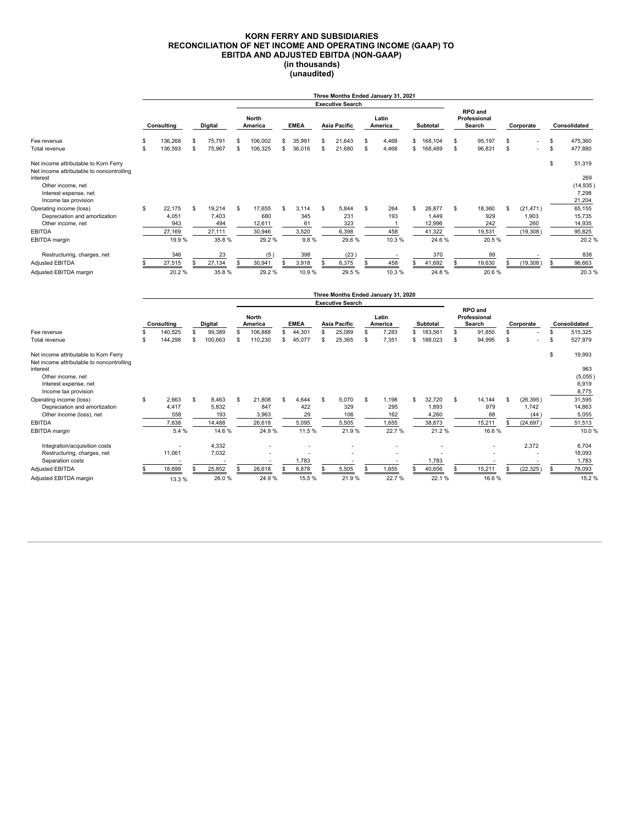#### **KORN FERRY AND SUBSIDIARIES RECONCILIATION OF NET INCOME AND OPERATING INCOME (GAAP) TO EBITDA AND ADJUSTED EBITDA (NON-GAAP) (in thousands) (unaudited)**

|                                                                                                                                                                      |          |                                  |          |                                  |                         |                                   |             |                             |              |                                                |                  | Three Months Ended January 31, 2021      |          |                                     |                                          |                                |                |                                        |          |                                               |
|----------------------------------------------------------------------------------------------------------------------------------------------------------------------|----------|----------------------------------|----------|----------------------------------|-------------------------|-----------------------------------|-------------|-----------------------------|--------------|------------------------------------------------|------------------|------------------------------------------|----------|-------------------------------------|------------------------------------------|--------------------------------|----------------|----------------------------------------|----------|-----------------------------------------------|
|                                                                                                                                                                      |          |                                  |          |                                  |                         |                                   |             |                             |              | <b>Executive Search</b>                        |                  |                                          |          |                                     |                                          |                                |                |                                        |          |                                               |
| Fee revenue                                                                                                                                                          |          | Consulting<br>Digital            |          |                                  | <b>North</b><br>America |                                   | <b>EMEA</b> |                             | Asia Pacific |                                                | Latin<br>America |                                          | Subtotal |                                     | <b>RPO</b> and<br>Professional<br>Search |                                | Corporate      |                                        |          | Consolidated                                  |
|                                                                                                                                                                      |          | 136.268                          | \$       | 75,791                           | S                       | 106.002                           | S           | 35,991                      | \$           | 21,643                                         | S                | 4,468                                    | \$       | 168.104                             | S                                        | 95.197                         | \$             |                                        | \$       | 475,360                                       |
| Total revenue                                                                                                                                                        | \$<br>\$ | 136,593                          | \$       | 75,967                           | \$                      | 106,325                           | S           | 36,016                      | \$           | 21,680                                         | \$               | 4,468                                    | \$       | 168,489                             | $\mathbb S$                              | 96,831                         | $\mathfrak{s}$ |                                        | \$       | 477,880                                       |
| Net income attributable to Korn Ferry<br>Net income attributable to noncontrolling<br>interest<br>Other income, net<br>Interest expense, net<br>Income tax provision |          |                                  |          |                                  |                         |                                   |             |                             |              |                                                |                  |                                          |          |                                     |                                          |                                |                |                                        | \$       | 51,319<br>269<br>(14, 935)<br>7,298<br>21,204 |
| Operating income (loss)<br>Depreciation and amortization<br>Other income, net<br><b>EBITDA</b>                                                                       | \$       | 22.175<br>4,051<br>943<br>27,169 | \$       | 19,214<br>7,403<br>494<br>27,111 | \$                      | 17.655<br>680<br>12,611<br>30,946 | S           | 3.114<br>345<br>61<br>3,520 | \$           | 5,844<br>231<br>323<br>6,398                   | \$               | 264<br>193<br>-1<br>458                  | \$       | 26,877<br>1.449<br>12,996<br>41,322 | \$                                       | 18,360<br>929<br>242<br>19,531 | \$             | (21, 471)<br>1,903<br>260<br>(19, 308) |          | 65,155<br>15,735<br>14,935<br>95,825          |
| <b>EBITDA</b> margin                                                                                                                                                 |          | 19.9%                            |          | 35.8%                            |                         | 29.2%                             |             | 9.8%                        |              | 29.6%                                          |                  | 10.3%                                    |          | 24.6%                               |                                          | 20.5%                          |                |                                        |          | 20.2%                                         |
| Restructuring, charges, net<br>Adjusted EBITDA<br>Adjusted EBITDA margin                                                                                             | \$       | 346<br>27,515<br>20.2%           |          | 23<br>27,134<br>35.8%            |                         | (5)<br>30,941<br>29.2%            |             | 398<br>3,918<br>10.9%       | \$           | (23)<br>6,375<br>29.5%                         | S                | $\overline{\phantom{a}}$<br>458<br>10.3% |          | 370<br>41,692<br>24.8%              | S                                        | 99<br>19,630<br>20.6%          |                | (19,308)                               | \$       | 838<br>96,663<br>20.3%                        |
|                                                                                                                                                                      |          |                                  |          |                                  |                         |                                   |             |                             |              |                                                |                  | Three Months Ended January 31, 2020      |          |                                     |                                          |                                |                |                                        |          |                                               |
|                                                                                                                                                                      |          | Consulting                       |          | Digital                          |                         | <b>North</b><br>America           |             | <b>EMEA</b>                 |              | <b>Executive Search</b><br><b>Asia Pacific</b> | Latin            |                                          |          |                                     | RPO and<br>Professional                  |                                |                | Corporate                              |          |                                               |
| Fee revenue<br>Total revenue                                                                                                                                         | \$<br>\$ | 140.525<br>144,298               | \$<br>\$ | 99.389<br>100,663                | S<br>\$                 | 106,888<br>110,230                | S<br>S      | 44,301<br>45,077            | \$<br>\$     | 25,089<br>25,365                               | S<br>\$          | America<br>7,283<br>7,351                | \$       | Subtotal<br>183.561<br>\$188,023    | \$<br>s                                  | Search<br>91.850<br>94,995     | \$             |                                        | \$<br>\$ | Consolidated<br>515.325<br>527,979            |
| Net income attributable to Korn Ferry<br>Net income attributable to noncontrolling<br>interest<br>Other income, net<br>Interest expense, net<br>Income tax provision |          |                                  |          |                                  |                         |                                   |             |                             |              |                                                |                  |                                          |          |                                     |                                          |                                |                |                                        | \$       | 19,993<br>963<br>(5,055)<br>6,919<br>8,775    |
| Operating income (loss)<br>Depreciation and amortization                                                                                                             | \$       | 2.663<br>4.417                   | \$       | 8,463<br>5.832                   | S                       | 21.808<br>847                     |             | 644<br>422                  | S            | 5.070<br>329                                   | S                | 1.198<br>295                             | \$       | 32.720<br>1.893                     | S                                        | 14.144<br>979                  | ፍ              | (26, 395)<br>1.742                     |          | 31,595<br>14.863                              |

| Depleciation and amonization  | 4.411  | J.OJZ  | $O+1$  | 444    | ت ے ت | ∠ອບ    | 1,090  | ວ ເວ   | 1.142     | 14,000 |
|-------------------------------|--------|--------|--------|--------|-------|--------|--------|--------|-----------|--------|
| Other income (loss), net      | 558    | 193    | 3,963  | 29     | 106   | 162    | 4,260  | 88     | (44)      | 5,055  |
| <b>EBITDA</b>                 | 7,638  | 14,488 | 26,618 | 5,095  | 5,505 | 1,655  | 38,873 | 15,211 | (24, 697) | 51,513 |
| EBITDA margin                 | 5.4 %  | 14.6%  | 24.9%  | 11.5 % | 21.9% | 22.7 % | 21.2%  | 16.6%  |           | 10.0%  |
| Integration/acquisition costs |        | 4.332  |        |        |       |        |        |        | 2.372     | 6,704  |
| Restructuring, charges, net   | 11,061 | 7,032  |        |        |       |        |        |        |           | 18,093 |
| Separation costs              |        |        |        | .783   |       |        | 1.783  |        |           | 1,783  |
| Adjusted EBITDA               | 18.699 | 25.852 | 26.618 | 6.878  | 5.505 | .655   | 40.656 | 15.211 | (22, 325) | 78,093 |
| Adjusted EBITDA margin        | 13.3 % | 26.0%  | 24.9%  | 15.5%  | 21.9% | 22.7%  | 22.1%  | 16.6%  |           | 15.2%  |